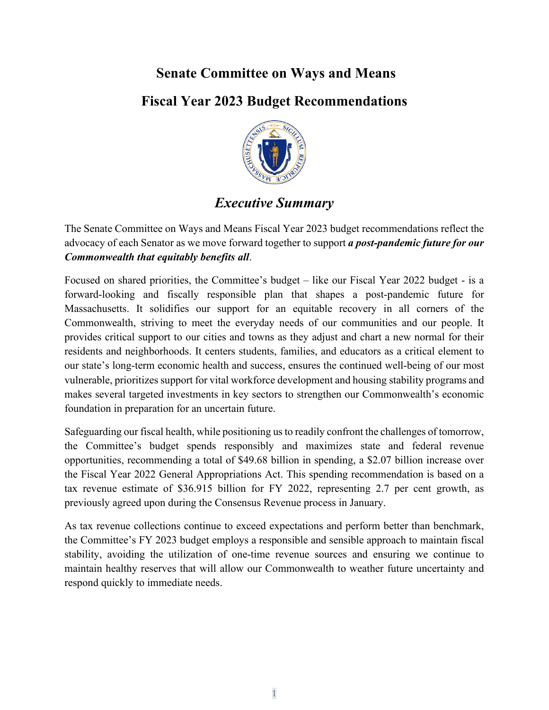# **Senate Committee on Ways and Means**

# **Fiscal Year 2023 Budget Recommendations**



# *Executive Summary*

The Senate Committee on Ways and Means Fiscal Year 2023 budget recommendations reflect the advocacy of each Senator as we move forward together to support *a post-pandemic future for our Commonwealth that equitably benefits all*.

Focused on shared priorities, the Committee's budget – like our Fiscal Year 2022 budget - is a forward-looking and fiscally responsible plan that shapes a post-pandemic future for Massachusetts. It solidifies our support for an equitable recovery in all corners of the Commonwealth, striving to meet the everyday needs of our communities and our people. It provides critical support to our cities and towns as they adjust and chart a new normal for their residents and neighborhoods. It centers students, families, and educators as a critical element to our state's long-term economic health and success, ensures the continued well-being of our most vulnerable, prioritizes support for vital workforce development and housing stability programs and makes several targeted investments in key sectors to strengthen our Commonwealth's economic foundation in preparation for an uncertain future.

Safeguarding our fiscal health, while positioning usto readily confront the challenges of tomorrow, the Committee's budget spends responsibly and maximizes state and federal revenue opportunities, recommending a total of \$49.68 billion in spending, a \$2.07 billion increase over the Fiscal Year 2022 General Appropriations Act. This spending recommendation is based on a tax revenue estimate of \$36.915 billion for FY 2022, representing 2.7 per cent growth, as previously agreed upon during the Consensus Revenue process in January.

As tax revenue collections continue to exceed expectations and perform better than benchmark, the Committee's FY 2023 budget employs a responsible and sensible approach to maintain fiscal stability, avoiding the utilization of one-time revenue sources and ensuring we continue to maintain healthy reserves that will allow our Commonwealth to weather future uncertainty and respond quickly to immediate needs.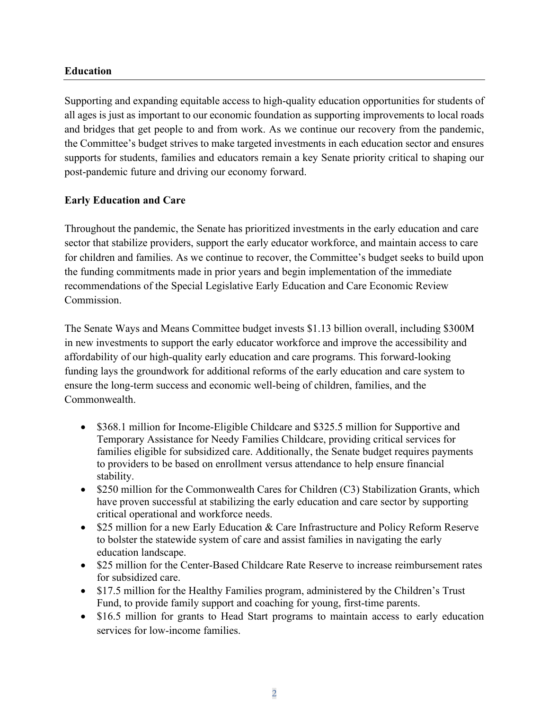#### **Education**

Supporting and expanding equitable access to high-quality education opportunities for students of all ages is just as important to our economic foundation as supporting improvements to local roads and bridges that get people to and from work. As we continue our recovery from the pandemic, the Committee's budget strives to make targeted investments in each education sector and ensures supports for students, families and educators remain a key Senate priority critical to shaping our post-pandemic future and driving our economy forward.

#### **Early Education and Care**

Throughout the pandemic, the Senate has prioritized investments in the early education and care sector that stabilize providers, support the early educator workforce, and maintain access to care for children and families. As we continue to recover, the Committee's budget seeks to build upon the funding commitments made in prior years and begin implementation of the immediate recommendations of the Special Legislative Early Education and Care Economic Review Commission.

The Senate Ways and Means Committee budget invests \$1.13 billion overall, including \$300M in new investments to support the early educator workforce and improve the accessibility and affordability of our high-quality early education and care programs. This forward-looking funding lays the groundwork for additional reforms of the early education and care system to ensure the long-term success and economic well-being of children, families, and the Commonwealth.

- \$368.1 million for Income-Eligible Childcare and \$325.5 million for Supportive and Temporary Assistance for Needy Families Childcare, providing critical services for families eligible for subsidized care. Additionally, the Senate budget requires payments to providers to be based on enrollment versus attendance to help ensure financial stability.
- \$250 million for the Commonwealth Cares for Children (C3) Stabilization Grants, which have proven successful at stabilizing the early education and care sector by supporting critical operational and workforce needs.
- \$25 million for a new Early Education & Care Infrastructure and Policy Reform Reserve to bolster the statewide system of care and assist families in navigating the early education landscape.
- \$25 million for the Center-Based Childcare Rate Reserve to increase reimbursement rates for subsidized care.
- \$17.5 million for the Healthy Families program, administered by the Children's Trust Fund, to provide family support and coaching for young, first-time parents.
- \$16.5 million for grants to Head Start programs to maintain access to early education services for low-income families.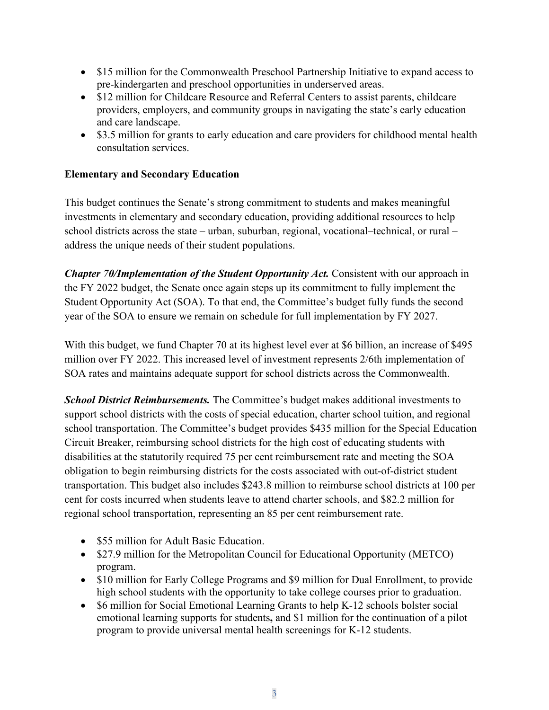- \$15 million for the Commonwealth Preschool Partnership Initiative to expand access to pre-kindergarten and preschool opportunities in underserved areas.
- \$12 million for Childcare Resource and Referral Centers to assist parents, childcare providers, employers, and community groups in navigating the state's early education and care landscape.
- \$3.5 million for grants to early education and care providers for childhood mental health consultation services.

## **Elementary and Secondary Education**

This budget continues the Senate's strong commitment to students and makes meaningful investments in elementary and secondary education, providing additional resources to help school districts across the state – urban, suburban, regional, vocational–technical, or rural – address the unique needs of their student populations.

*Chapter 70/Implementation of the Student Opportunity Act.* Consistent with our approach in the FY 2022 budget, the Senate once again steps up its commitment to fully implement the Student Opportunity Act (SOA). To that end, the Committee's budget fully funds the second year of the SOA to ensure we remain on schedule for full implementation by FY 2027.

With this budget, we fund Chapter 70 at its highest level ever at \$6 billion, an increase of \$495 million over FY 2022. This increased level of investment represents 2/6th implementation of SOA rates and maintains adequate support for school districts across the Commonwealth.

*School District Reimbursements.* The Committee's budget makes additional investments to support school districts with the costs of special education, charter school tuition, and regional school transportation. The Committee's budget provides \$435 million for the Special Education Circuit Breaker, reimbursing school districts for the high cost of educating students with disabilities at the statutorily required 75 per cent reimbursement rate and meeting the SOA obligation to begin reimbursing districts for the costs associated with out-of-district student transportation. This budget also includes \$243.8 million to reimburse school districts at 100 per cent for costs incurred when students leave to attend charter schools, and \$82.2 million for regional school transportation, representing an 85 per cent reimbursement rate.

- \$55 million for Adult Basic Education.
- \$27.9 million for the Metropolitan Council for Educational Opportunity (METCO) program.
- \$10 million for Early College Programs and \$9 million for Dual Enrollment, to provide high school students with the opportunity to take college courses prior to graduation.
- \$6 million for Social Emotional Learning Grants to help K-12 schools bolster social emotional learning supports for students**,** and \$1 million for the continuation of a pilot program to provide universal mental health screenings for K-12 students.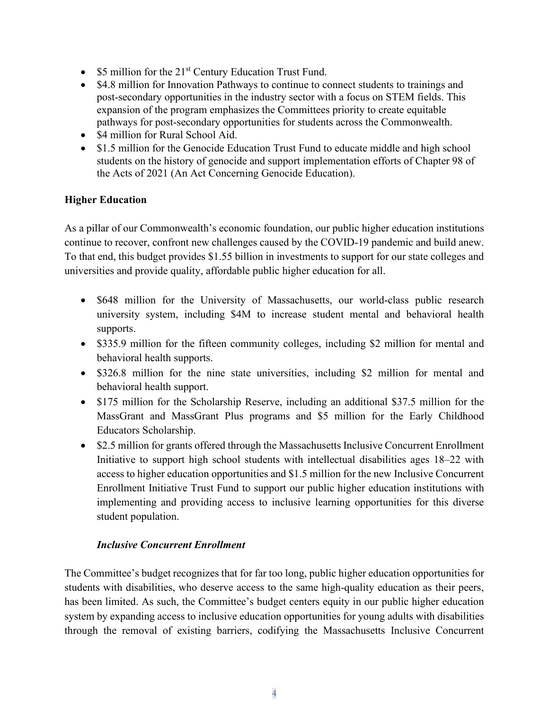- \$5 million for the 21<sup>st</sup> Century Education Trust Fund.
- \$4.8 million for Innovation Pathways to continue to connect students to trainings and post-secondary opportunities in the industry sector with a focus on STEM fields. This expansion of the program emphasizes the Committees priority to create equitable pathways for post-secondary opportunities for students across the Commonwealth.
- \$4 million for Rural School Aid.
- \$1.5 million for the Genocide Education Trust Fund to educate middle and high school students on the history of genocide and support implementation efforts of Chapter 98 of the Acts of 2021 (An Act Concerning Genocide Education).

## **Higher Education**

As a pillar of our Commonwealth's economic foundation, our public higher education institutions continue to recover, confront new challenges caused by the COVID-19 pandemic and build anew. To that end, this budget provides \$1.55 billion in investments to support for our state colleges and universities and provide quality, affordable public higher education for all.

- \$648 million for the University of Massachusetts, our world-class public research university system, including \$4M to increase student mental and behavioral health supports.
- \$335.9 million for the fifteen community colleges, including \$2 million for mental and behavioral health supports.
- \$326.8 million for the nine state universities, including \$2 million for mental and behavioral health support.
- \$175 million for the Scholarship Reserve, including an additional \$37.5 million for the MassGrant and MassGrant Plus programs and \$5 million for the Early Childhood Educators Scholarship.
- \$2.5 million for grants offered through the Massachusetts Inclusive Concurrent Enrollment Initiative to support high school students with intellectual disabilities ages 18–22 with access to higher education opportunities and \$1.5 million for the new Inclusive Concurrent Enrollment Initiative Trust Fund to support our public higher education institutions with implementing and providing access to inclusive learning opportunities for this diverse student population.

## *Inclusive Concurrent Enrollment*

The Committee's budget recognizes that for far too long, public higher education opportunities for students with disabilities, who deserve access to the same high-quality education as their peers, has been limited. As such, the Committee's budget centers equity in our public higher education system by expanding access to inclusive education opportunities for young adults with disabilities through the removal of existing barriers, codifying the Massachusetts Inclusive Concurrent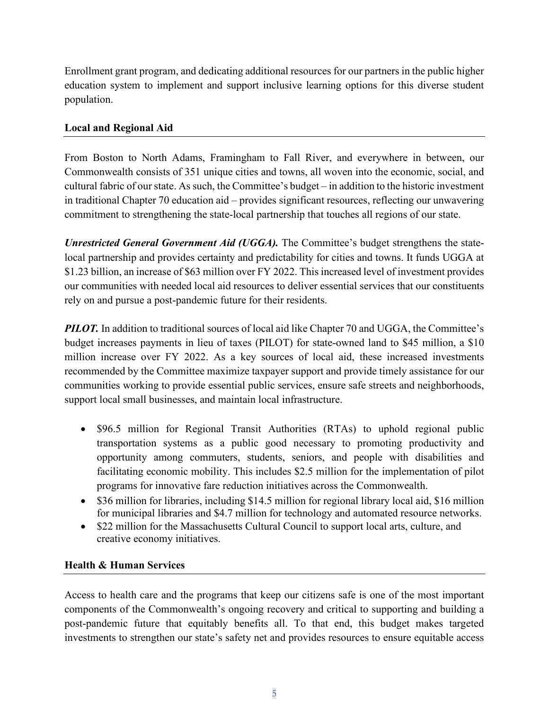Enrollment grant program, and dedicating additional resources for our partners in the public higher education system to implement and support inclusive learning options for this diverse student population.

## **Local and Regional Aid**

From Boston to North Adams, Framingham to Fall River, and everywhere in between, our Commonwealth consists of 351 unique cities and towns, all woven into the economic, social, and cultural fabric of our state. As such, the Committee's budget – in addition to the historic investment in traditional Chapter 70 education aid – provides significant resources, reflecting our unwavering commitment to strengthening the state-local partnership that touches all regions of our state.

*Unrestricted General Government Aid (UGGA).* The Committee's budget strengthens the statelocal partnership and provides certainty and predictability for cities and towns. It funds UGGA at \$1.23 billion, an increase of \$63 million over FY 2022. This increased level of investment provides our communities with needed local aid resources to deliver essential services that our constituents rely on and pursue a post-pandemic future for their residents.

*PILOT.* In addition to traditional sources of local aid like Chapter 70 and UGGA, the Committee's budget increases payments in lieu of taxes (PILOT) for state-owned land to \$45 million, a \$10 million increase over FY 2022. As a key sources of local aid, these increased investments recommended by the Committee maximize taxpayer support and provide timely assistance for our communities working to provide essential public services, ensure safe streets and neighborhoods, support local small businesses, and maintain local infrastructure.

- \$96.5 million for Regional Transit Authorities (RTAs) to uphold regional public transportation systems as a public good necessary to promoting productivity and opportunity among commuters, students, seniors, and people with disabilities and facilitating economic mobility. This includes \$2.5 million for the implementation of pilot programs for innovative fare reduction initiatives across the Commonwealth.
- \$36 million for libraries, including \$14.5 million for regional library local aid, \$16 million for municipal libraries and \$4.7 million for technology and automated resource networks.
- \$22 million for the Massachusetts Cultural Council to support local arts, culture, and creative economy initiatives.

#### **Health & Human Services**

Access to health care and the programs that keep our citizens safe is one of the most important components of the Commonwealth's ongoing recovery and critical to supporting and building a post-pandemic future that equitably benefits all. To that end, this budget makes targeted investments to strengthen our state's safety net and provides resources to ensure equitable access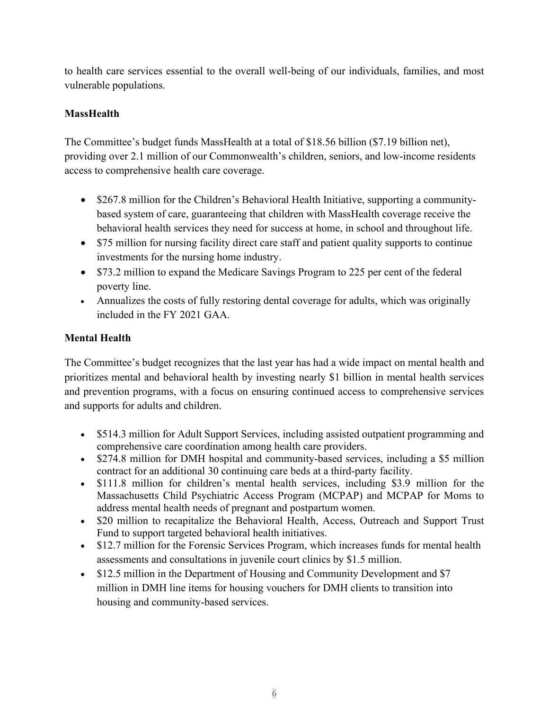to health care services essential to the overall well-being of our individuals, families, and most vulnerable populations.

# **MassHealth**

The Committee's budget funds MassHealth at a total of \$18.56 billion (\$7.19 billion net), providing over 2.1 million of our Commonwealth's children, seniors, and low-income residents access to comprehensive health care coverage.

- \$267.8 million for the Children's Behavioral Health Initiative, supporting a communitybased system of care, guaranteeing that children with MassHealth coverage receive the behavioral health services they need for success at home, in school and throughout life.
- \$75 million for nursing facility direct care staff and patient quality supports to continue investments for the nursing home industry.
- \$73.2 million to expand the Medicare Savings Program to 225 per cent of the federal poverty line.
- Annualizes the costs of fully restoring dental coverage for adults, which was originally included in the FY 2021 GAA.

# **Mental Health**

The Committee's budget recognizes that the last year has had a wide impact on mental health and prioritizes mental and behavioral health by investing nearly \$1 billion in mental health services and prevention programs, with a focus on ensuring continued access to comprehensive services and supports for adults and children.

- \$514.3 million for Adult Support Services, including assisted outpatient programming and comprehensive care coordination among health care providers.
- \$274.8 million for DMH hospital and community-based services, including a \$5 million contract for an additional 30 continuing care beds at a third-party facility.
- \$111.8 million for children's mental health services, including \$3.9 million for the Massachusetts Child Psychiatric Access Program (MCPAP) and MCPAP for Moms to address mental health needs of pregnant and postpartum women.
- \$20 million to recapitalize the Behavioral Health, Access, Outreach and Support Trust Fund to support targeted behavioral health initiatives.
- \$12.7 million for the Forensic Services Program, which increases funds for mental health assessments and consultations in juvenile court clinics by \$1.5 million.
- \$12.5 million in the Department of Housing and Community Development and \$7 million in DMH line items for housing vouchers for DMH clients to transition into housing and community-based services.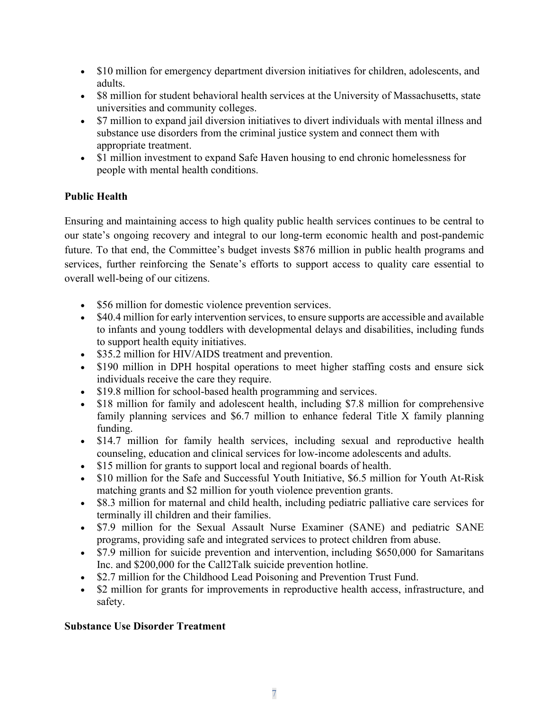- \$10 million for emergency department diversion initiatives for children, adolescents, and adults.
- \$8 million for student behavioral health services at the University of Massachusetts, state universities and community colleges.
- \$7 million to expand jail diversion initiatives to divert individuals with mental illness and substance use disorders from the criminal justice system and connect them with appropriate treatment.
- \$1 million investment to expand Safe Haven housing to end chronic homelessness for people with mental health conditions.

## **Public Health**

Ensuring and maintaining access to high quality public health services continues to be central to our state's ongoing recovery and integral to our long-term economic health and post-pandemic future. To that end, the Committee's budget invests \$876 million in public health programs and services, further reinforcing the Senate's efforts to support access to quality care essential to overall well-being of our citizens.

- \$56 million for domestic violence prevention services.
- \$40.4 million for early intervention services, to ensure supports are accessible and available to infants and young toddlers with developmental delays and disabilities, including funds to support health equity initiatives.
- \$35.2 million for HIV/AIDS treatment and prevention.
- \$190 million in DPH hospital operations to meet higher staffing costs and ensure sick individuals receive the care they require.
- \$19.8 million for school-based health programming and services.
- \$18 million for family and adolescent health, including \$7.8 million for comprehensive family planning services and \$6.7 million to enhance federal Title X family planning funding.
- \$14.7 million for family health services, including sexual and reproductive health counseling, education and clinical services for low-income adolescents and adults.
- \$15 million for grants to support local and regional boards of health.
- \$10 million for the Safe and Successful Youth Initiative, \$6.5 million for Youth At-Risk matching grants and \$2 million for youth violence prevention grants.
- \$8.3 million for maternal and child health, including pediatric palliative care services for terminally ill children and their families.
- \$7.9 million for the Sexual Assault Nurse Examiner (SANE) and pediatric SANE programs, providing safe and integrated services to protect children from abuse.
- \$7.9 million for suicide prevention and intervention, including \$650,000 for Samaritans Inc. and \$200,000 for the Call2Talk suicide prevention hotline.
- \$2.7 million for the Childhood Lead Poisoning and Prevention Trust Fund.
- \$2 million for grants for improvements in reproductive health access, infrastructure, and safety.

## **Substance Use Disorder Treatment**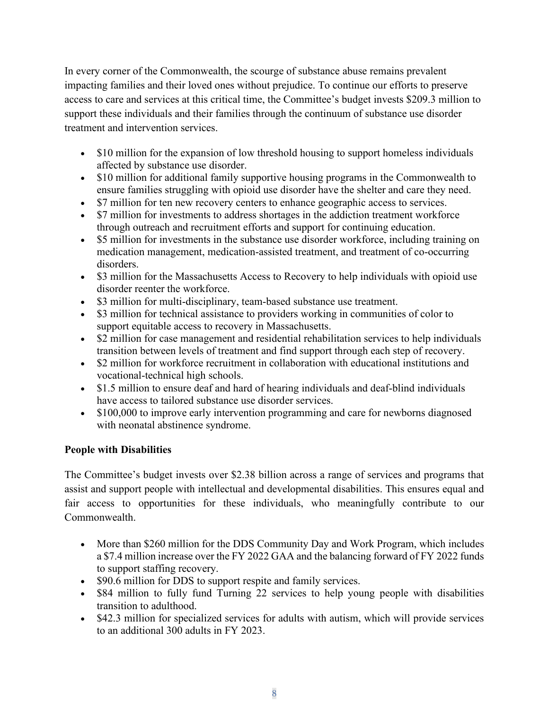In every corner of the Commonwealth, the scourge of substance abuse remains prevalent impacting families and their loved ones without prejudice. To continue our efforts to preserve access to care and services at this critical time, the Committee's budget invests \$209.3 million to support these individuals and their families through the continuum of substance use disorder treatment and intervention services.

- \$10 million for the expansion of low threshold housing to support homeless individuals affected by substance use disorder.
- \$10 million for additional family supportive housing programs in the Commonwealth to ensure families struggling with opioid use disorder have the shelter and care they need.
- \$7 million for ten new recovery centers to enhance geographic access to services.
- \$7 million for investments to address shortages in the addiction treatment workforce through outreach and recruitment efforts and support for continuing education.
- \$5 million for investments in the substance use disorder workforce, including training on medication management, medication-assisted treatment, and treatment of co-occurring disorders.
- \$3 million for the Massachusetts Access to Recovery to help individuals with opioid use disorder reenter the workforce.
- \$3 million for multi-disciplinary, team-based substance use treatment.
- \$3 million for technical assistance to providers working in communities of color to support equitable access to recovery in Massachusetts.
- \$2 million for case management and residential rehabilitation services to help individuals transition between levels of treatment and find support through each step of recovery.
- \$2 million for workforce recruitment in collaboration with educational institutions and vocational-technical high schools.
- \$1.5 million to ensure deaf and hard of hearing individuals and deaf-blind individuals have access to tailored substance use disorder services.
- \$100,000 to improve early intervention programming and care for newborns diagnosed with neonatal abstinence syndrome.

#### **People with Disabilities**

The Committee's budget invests over \$2.38 billion across a range of services and programs that assist and support people with intellectual and developmental disabilities. This ensures equal and fair access to opportunities for these individuals, who meaningfully contribute to our Commonwealth.

- More than \$260 million for the DDS Community Day and Work Program, which includes a \$7.4 million increase over the FY 2022 GAA and the balancing forward of FY 2022 funds to support staffing recovery.
- \$90.6 million for DDS to support respite and family services.
- \$84 million to fully fund Turning 22 services to help young people with disabilities transition to adulthood.
- \$42.3 million for specialized services for adults with autism, which will provide services to an additional 300 adults in FY 2023.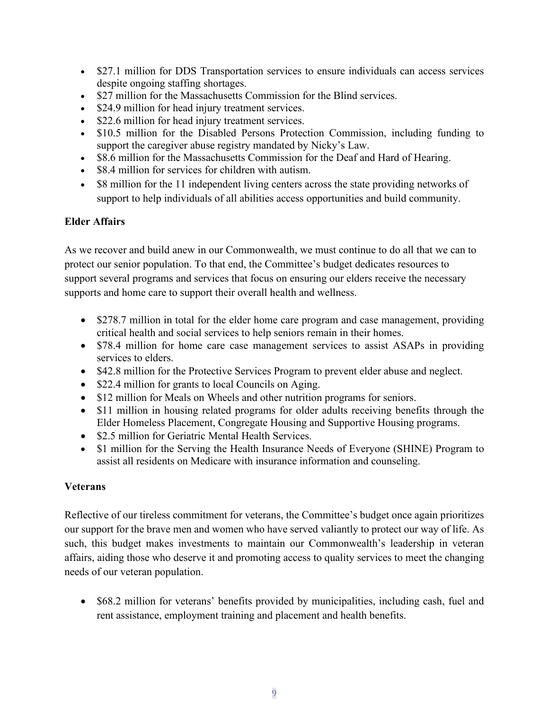- \$27.1 million for DDS Transportation services to ensure individuals can access services despite ongoing staffing shortages.
- \$27 million for the Massachusetts Commission for the Blind services.
- \$24.9 million for head injury treatment services.
- \$22.6 million for head injury treatment services.
- \$10.5 million for the Disabled Persons Protection Commission, including funding to support the caregiver abuse registry mandated by Nicky's Law.
- \$8.6 million for the Massachusetts Commission for the Deaf and Hard of Hearing.
- \$8.4 million for services for children with autism.
- \$8 million for the 11 independent living centers across the state providing networks of support to help individuals of all abilities access opportunities and build community.

## **Elder Affairs**

As we recover and build anew in our Commonwealth, we must continue to do all that we can to protect our senior population. To that end, the Committee's budget dedicates resources to support several programs and services that focus on ensuring our elders receive the necessary supports and home care to support their overall health and wellness.

- \$278.7 million in total for the elder home care program and case management, providing critical health and social services to help seniors remain in their homes.
- \$78.4 million for home care case management services to assist ASAPs in providing services to elders.
- \$42.8 million for the Protective Services Program to prevent elder abuse and neglect.
- \$22.4 million for grants to local Councils on Aging.
- \$12 million for Meals on Wheels and other nutrition programs for seniors.
- \$11 million in housing related programs for older adults receiving benefits through the Elder Homeless Placement, Congregate Housing and Supportive Housing programs.
- \$2.5 million for Geriatric Mental Health Services.
- \$1 million for the Serving the Health Insurance Needs of Everyone (SHINE) Program to assist all residents on Medicare with insurance information and counseling.

## **Veterans**

Reflective of our tireless commitment for veterans, the Committee's budget once again prioritizes our support for the brave men and women who have served valiantly to protect our way of life. As such, this budget makes investments to maintain our Commonwealth's leadership in veteran affairs, aiding those who deserve it and promoting access to quality services to meet the changing needs of our veteran population.

• \$68.2 million for veterans' benefits provided by municipalities, including cash, fuel and rent assistance, employment training and placement and health benefits.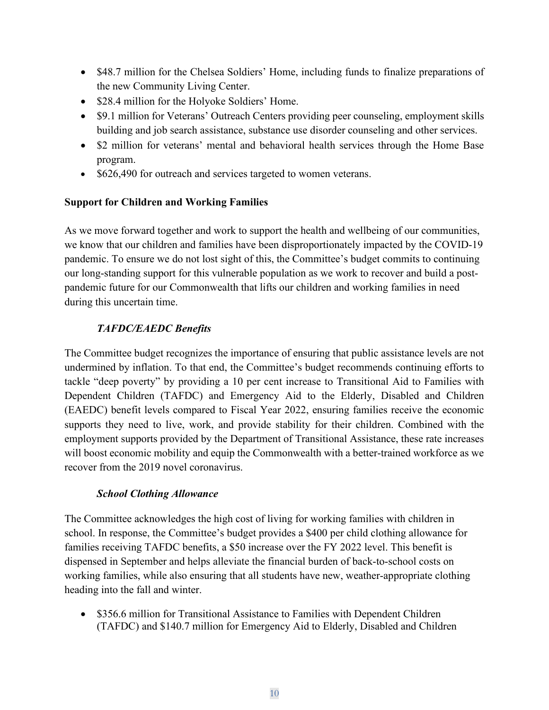- \$48.7 million for the Chelsea Soldiers' Home, including funds to finalize preparations of the new Community Living Center.
- \$28.4 million for the Holyoke Soldiers' Home.
- \$9.1 million for Veterans' Outreach Centers providing peer counseling, employment skills building and job search assistance, substance use disorder counseling and other services.
- \$2 million for veterans' mental and behavioral health services through the Home Base program.
- \$626,490 for outreach and services targeted to women veterans.

## **Support for Children and Working Families**

As we move forward together and work to support the health and wellbeing of our communities, we know that our children and families have been disproportionately impacted by the COVID-19 pandemic. To ensure we do not lost sight of this, the Committee's budget commits to continuing our long-standing support for this vulnerable population as we work to recover and build a postpandemic future for our Commonwealth that lifts our children and working families in need during this uncertain time.

## *TAFDC/EAEDC Benefits*

The Committee budget recognizes the importance of ensuring that public assistance levels are not undermined by inflation. To that end, the Committee's budget recommends continuing efforts to tackle "deep poverty" by providing a 10 per cent increase to Transitional Aid to Families with Dependent Children (TAFDC) and Emergency Aid to the Elderly, Disabled and Children (EAEDC) benefit levels compared to Fiscal Year 2022, ensuring families receive the economic supports they need to live, work, and provide stability for their children. Combined with the employment supports provided by the Department of Transitional Assistance, these rate increases will boost economic mobility and equip the Commonwealth with a better-trained workforce as we recover from the 2019 novel coronavirus.

#### *School Clothing Allowance*

The Committee acknowledges the high cost of living for working families with children in school. In response, the Committee's budget provides a \$400 per child clothing allowance for families receiving TAFDC benefits, a \$50 increase over the FY 2022 level. This benefit is dispensed in September and helps alleviate the financial burden of back-to-school costs on working families, while also ensuring that all students have new, weather-appropriate clothing heading into the fall and winter.

• \$356.6 million for Transitional Assistance to Families with Dependent Children (TAFDC) and \$140.7 million for Emergency Aid to Elderly, Disabled and Children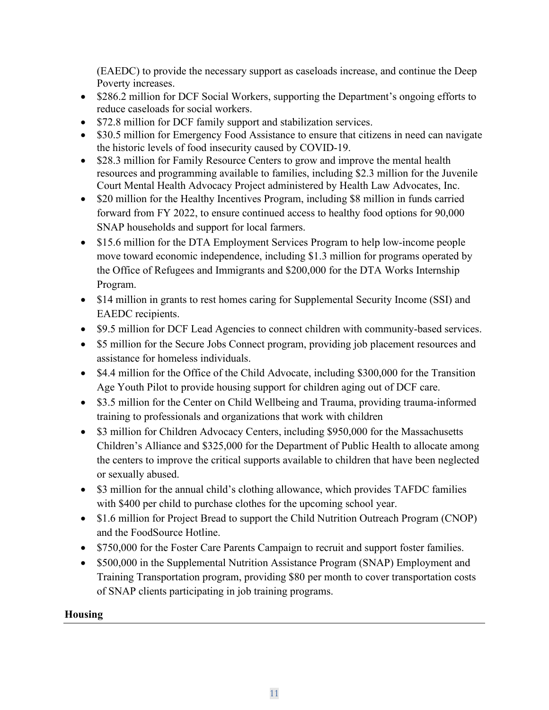(EAEDC) to provide the necessary support as caseloads increase, and continue the Deep Poverty increases.

- \$286.2 million for DCF Social Workers, supporting the Department's ongoing efforts to reduce caseloads for social workers.
- \$72.8 million for DCF family support and stabilization services.
- \$30.5 million for Emergency Food Assistance to ensure that citizens in need can navigate the historic levels of food insecurity caused by COVID-19.
- \$28.3 million for Family Resource Centers to grow and improve the mental health resources and programming available to families, including \$2.3 million for the Juvenile Court Mental Health Advocacy Project administered by Health Law Advocates, Inc.
- \$20 million for the Healthy Incentives Program, including \$8 million in funds carried forward from FY 2022, to ensure continued access to healthy food options for 90,000 SNAP households and support for local farmers.
- \$15.6 million for the DTA Employment Services Program to help low-income people move toward economic independence, including \$1.3 million for programs operated by the Office of Refugees and Immigrants and \$200,000 for the DTA Works Internship Program.
- \$14 million in grants to rest homes caring for Supplemental Security Income (SSI) and EAEDC recipients.
- \$9.5 million for DCF Lead Agencies to connect children with community-based services.
- \$5 million for the Secure Jobs Connect program, providing job placement resources and assistance for homeless individuals.
- \$4.4 million for the Office of the Child Advocate, including \$300,000 for the Transition Age Youth Pilot to provide housing support for children aging out of DCF care.
- \$3.5 million for the Center on Child Wellbeing and Trauma, providing trauma-informed training to professionals and organizations that work with children
- \$3 million for Children Advocacy Centers, including \$950,000 for the Massachusetts Children's Alliance and \$325,000 for the Department of Public Health to allocate among the centers to improve the critical supports available to children that have been neglected or sexually abused.
- \$3 million for the annual child's clothing allowance, which provides TAFDC families with \$400 per child to purchase clothes for the upcoming school year.
- \$1.6 million for Project Bread to support the Child Nutrition Outreach Program (CNOP) and the FoodSource Hotline.
- \$750,000 for the Foster Care Parents Campaign to recruit and support foster families.
- \$500,000 in the Supplemental Nutrition Assistance Program (SNAP) Employment and Training Transportation program, providing \$80 per month to cover transportation costs of SNAP clients participating in job training programs.

#### **Housing**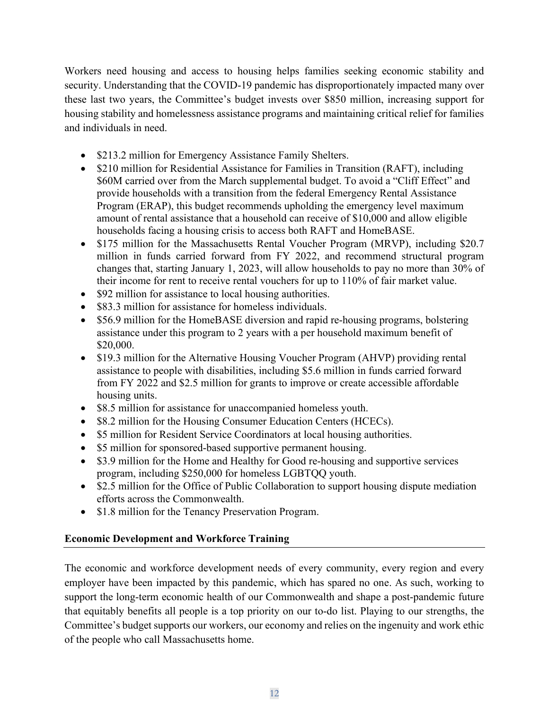Workers need housing and access to housing helps families seeking economic stability and security. Understanding that the COVID-19 pandemic has disproportionately impacted many over these last two years, the Committee's budget invests over \$850 million, increasing support for housing stability and homelessness assistance programs and maintaining critical relief for families and individuals in need.

- \$213.2 million for Emergency Assistance Family Shelters.
- \$210 million for Residential Assistance for Families in Transition (RAFT), including \$60M carried over from the March supplemental budget. To avoid a "Cliff Effect" and provide households with a transition from the federal Emergency Rental Assistance Program (ERAP), this budget recommends upholding the emergency level maximum amount of rental assistance that a household can receive of \$10,000 and allow eligible households facing a housing crisis to access both RAFT and HomeBASE.
- \$175 million for the Massachusetts Rental Voucher Program (MRVP), including \$20.7 million in funds carried forward from FY 2022, and recommend structural program changes that, starting January 1, 2023, will allow households to pay no more than 30% of their income for rent to receive rental vouchers for up to 110% of fair market value.
- \$92 million for assistance to local housing authorities.
- \$83.3 million for assistance for homeless individuals.
- \$56.9 million for the HomeBASE diversion and rapid re-housing programs, bolstering assistance under this program to 2 years with a per household maximum benefit of \$20,000.
- \$19.3 million for the Alternative Housing Voucher Program (AHVP) providing rental assistance to people with disabilities, including \$5.6 million in funds carried forward from FY 2022 and \$2.5 million for grants to improve or create accessible affordable housing units.
- \$8.5 million for assistance for unaccompanied homeless youth.
- \$8.2 million for the Housing Consumer Education Centers (HCECs).
- \$5 million for Resident Service Coordinators at local housing authorities.
- \$5 million for sponsored-based supportive permanent housing.
- \$3.9 million for the Home and Healthy for Good re-housing and supportive services program, including \$250,000 for homeless LGBTQQ youth.
- \$2.5 million for the Office of Public Collaboration to support housing dispute mediation efforts across the Commonwealth.
- \$1.8 million for the Tenancy Preservation Program.

#### **Economic Development and Workforce Training**

The economic and workforce development needs of every community, every region and every employer have been impacted by this pandemic, which has spared no one. As such, working to support the long-term economic health of our Commonwealth and shape a post-pandemic future that equitably benefits all people is a top priority on our to-do list. Playing to our strengths, the Committee's budget supports our workers, our economy and relies on the ingenuity and work ethic of the people who call Massachusetts home.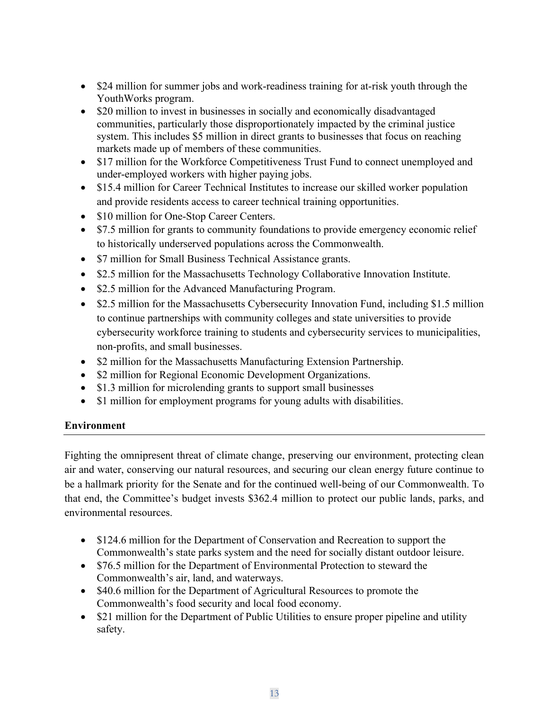- \$24 million for summer jobs and work-readiness training for at-risk youth through the YouthWorks program.
- \$20 million to invest in businesses in socially and economically disadvantaged communities, particularly those disproportionately impacted by the criminal justice system. This includes \$5 million in direct grants to businesses that focus on reaching markets made up of members of these communities.
- \$17 million for the Workforce Competitiveness Trust Fund to connect unemployed and under-employed workers with higher paying jobs.
- \$15.4 million for Career Technical Institutes to increase our skilled worker population and provide residents access to career technical training opportunities.
- \$10 million for One-Stop Career Centers.
- \$7.5 million for grants to community foundations to provide emergency economic relief to historically underserved populations across the Commonwealth.
- \$7 million for Small Business Technical Assistance grants.
- \$2.5 million for the Massachusetts Technology Collaborative Innovation Institute.
- \$2.5 million for the Advanced Manufacturing Program.
- \$2.5 million for the Massachusetts Cybersecurity Innovation Fund, including \$1.5 million to continue partnerships with community colleges and state universities to provide cybersecurity workforce training to students and cybersecurity services to municipalities, non-profits, and small businesses.
- \$2 million for the Massachusetts Manufacturing Extension Partnership.
- \$2 million for Regional Economic Development Organizations.
- \$1.3 million for microlending grants to support small businesses
- \$1 million for employment programs for young adults with disabilities.

#### **Environment**

Fighting the omnipresent threat of climate change, preserving our environment, protecting clean air and water, conserving our natural resources, and securing our clean energy future continue to be a hallmark priority for the Senate and for the continued well-being of our Commonwealth. To that end, the Committee's budget invests \$362.4 million to protect our public lands, parks, and environmental resources.

- \$124.6 million for the Department of Conservation and Recreation to support the Commonwealth's state parks system and the need for socially distant outdoor leisure.
- \$76.5 million for the Department of Environmental Protection to steward the Commonwealth's air, land, and waterways.
- \$40.6 million for the Department of Agricultural Resources to promote the Commonwealth's food security and local food economy.
- \$21 million for the Department of Public Utilities to ensure proper pipeline and utility safety.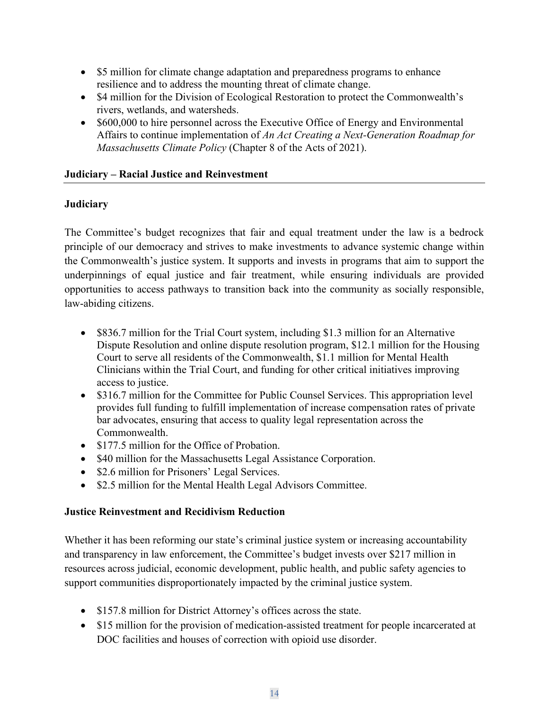- \$5 million for climate change adaptation and preparedness programs to enhance resilience and to address the mounting threat of climate change.
- \$4 million for the Division of Ecological Restoration to protect the Commonwealth's rivers, wetlands, and watersheds.
- \$600,000 to hire personnel across the Executive Office of Energy and Environmental Affairs to continue implementation of *An Act Creating a Next-Generation Roadmap for Massachusetts Climate Policy* (Chapter 8 of the Acts of 2021).

#### **Judiciary – Racial Justice and Reinvestment**

#### **Judiciary**

The Committee's budget recognizes that fair and equal treatment under the law is a bedrock principle of our democracy and strives to make investments to advance systemic change within the Commonwealth's justice system. It supports and invests in programs that aim to support the underpinnings of equal justice and fair treatment, while ensuring individuals are provided opportunities to access pathways to transition back into the community as socially responsible, law-abiding citizens.

- \$836.7 million for the Trial Court system, including \$1.3 million for an Alternative Dispute Resolution and online dispute resolution program, \$12.1 million for the Housing Court to serve all residents of the Commonwealth, \$1.1 million for Mental Health Clinicians within the Trial Court, and funding for other critical initiatives improving access to justice.
- \$316.7 million for the Committee for Public Counsel Services. This appropriation level provides full funding to fulfill implementation of increase compensation rates of private bar advocates, ensuring that access to quality legal representation across the Commonwealth.
- \$177.5 million for the Office of Probation.
- \$40 million for the Massachusetts Legal Assistance Corporation.
- \$2.6 million for Prisoners' Legal Services.
- \$2.5 million for the Mental Health Legal Advisors Committee.

#### **Justice Reinvestment and Recidivism Reduction**

Whether it has been reforming our state's criminal justice system or increasing accountability and transparency in law enforcement, the Committee's budget invests over \$217 million in resources across judicial, economic development, public health, and public safety agencies to support communities disproportionately impacted by the criminal justice system.

- \$157.8 million for District Attorney's offices across the state.
- \$15 million for the provision of medication-assisted treatment for people incarcerated at DOC facilities and houses of correction with opioid use disorder.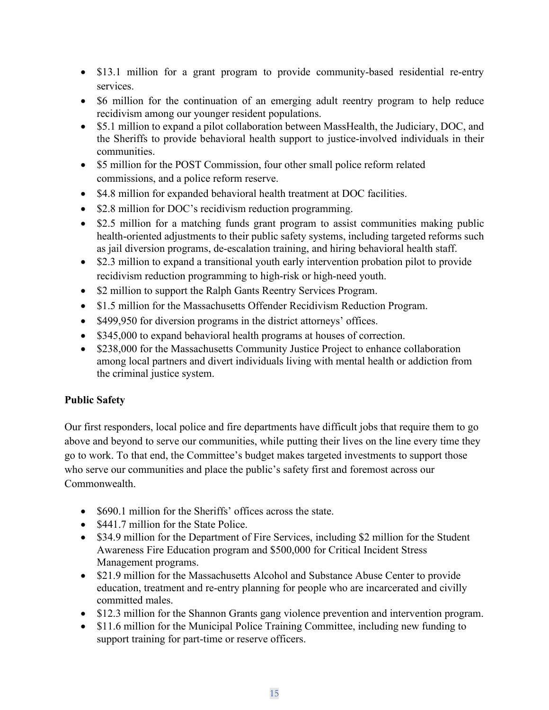- \$13.1 million for a grant program to provide community-based residential re-entry services.
- \$6 million for the continuation of an emerging adult reentry program to help reduce recidivism among our younger resident populations.
- \$5.1 million to expand a pilot collaboration between MassHealth, the Judiciary, DOC, and the Sheriffs to provide behavioral health support to justice-involved individuals in their communities.
- \$5 million for the POST Commission, four other small police reform related commissions, and a police reform reserve.
- \$4.8 million for expanded behavioral health treatment at DOC facilities.
- \$2.8 million for DOC's recidivism reduction programming.
- \$2.5 million for a matching funds grant program to assist communities making public health-oriented adjustments to their public safety systems, including targeted reforms such as jail diversion programs, de-escalation training, and hiring behavioral health staff.
- \$2.3 million to expand a transitional youth early intervention probation pilot to provide recidivism reduction programming to high-risk or high-need youth.
- \$2 million to support the Ralph Gants Reentry Services Program.
- \$1.5 million for the Massachusetts Offender Recidivism Reduction Program.
- \$499,950 for diversion programs in the district attorneys' offices.
- \$345,000 to expand behavioral health programs at houses of correction.
- \$238,000 for the Massachusetts Community Justice Project to enhance collaboration among local partners and divert individuals living with mental health or addiction from the criminal justice system.

#### **Public Safety**

Our first responders, local police and fire departments have difficult jobs that require them to go above and beyond to serve our communities, while putting their lives on the line every time they go to work. To that end, the Committee's budget makes targeted investments to support those who serve our communities and place the public's safety first and foremost across our Commonwealth.

- \$690.1 million for the Sheriffs' offices across the state.
- \$441.7 million for the State Police.
- \$34.9 million for the Department of Fire Services, including \$2 million for the Student Awareness Fire Education program and \$500,000 for Critical Incident Stress Management programs.
- \$21.9 million for the Massachusetts Alcohol and Substance Abuse Center to provide education, treatment and re-entry planning for people who are incarcerated and civilly committed males.
- \$12.3 million for the Shannon Grants gang violence prevention and intervention program.
- \$11.6 million for the Municipal Police Training Committee, including new funding to support training for part-time or reserve officers.